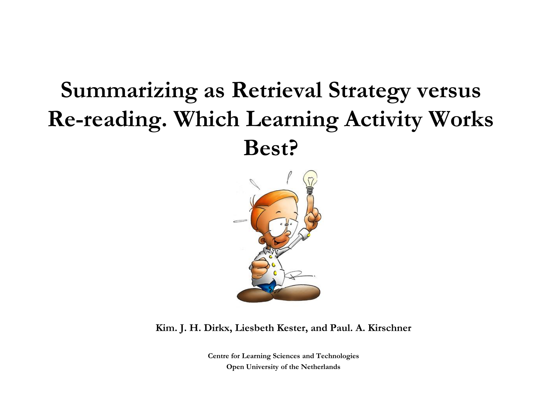#### **Summarizing as Retrieval Strategy versus Re-reading. Which Learning Activity Works Best?**



**Kim. J. H. Dirkx, Liesbeth Kester, and Paul. A. Kirschner**

**Centre for Learning Sciences and Technologies Open University of the Netherlands**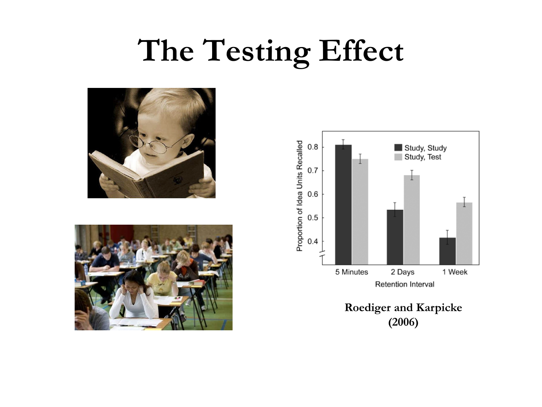### **The Testing Effect**







**Roediger and Karpicke (2006)**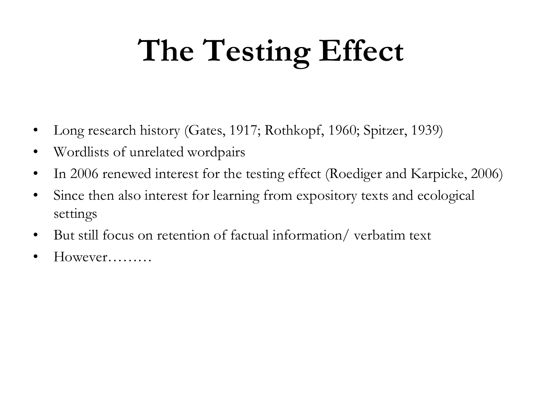# **The Testing Effect**

- Long research history (Gates, 1917; Rothkopf, 1960; Spitzer, 1939)
- Wordlists of unrelated wordpairs
- In 2006 renewed interest for the testing effect (Roediger and Karpicke, 2006)
- Since then also interest for learning from expository texts and ecological settings
- But still focus on retention of factual information/ verbatim text
- However………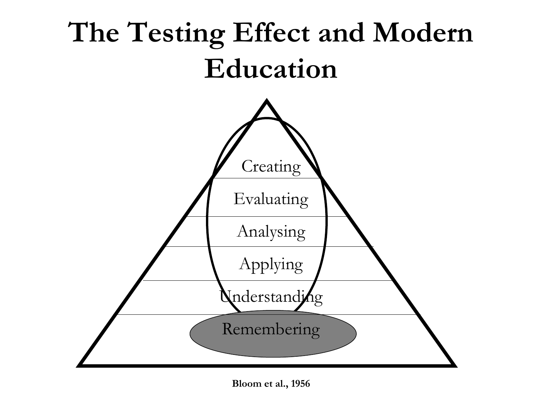

**Bloom et al., 1956**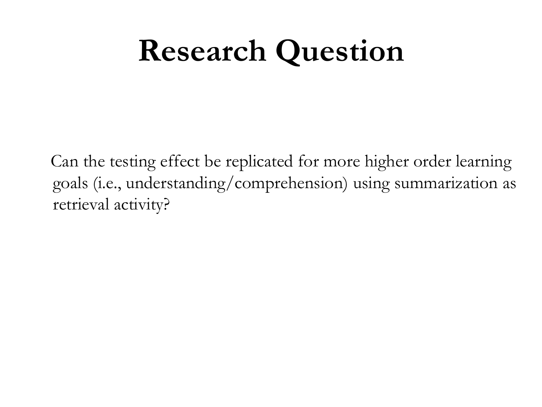### **Research Question**

Can the testing effect be replicated for more higher order learning goals (i.e., understanding/comprehension) using summarization as retrieval activity?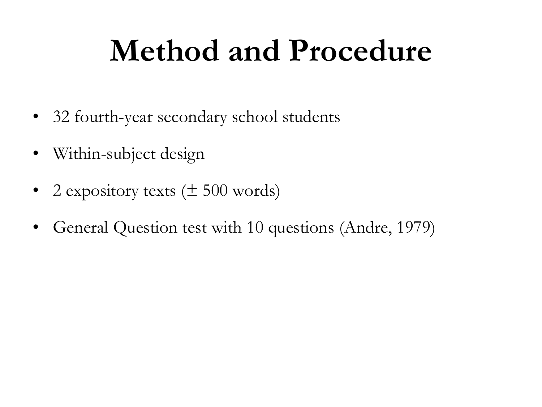## **Method and Procedure**

- 32 fourth-year secondary school students
- Within-subject design
- 2 expository texts  $(\pm 500 \text{ words})$
- General Question test with 10 questions (Andre, 1979)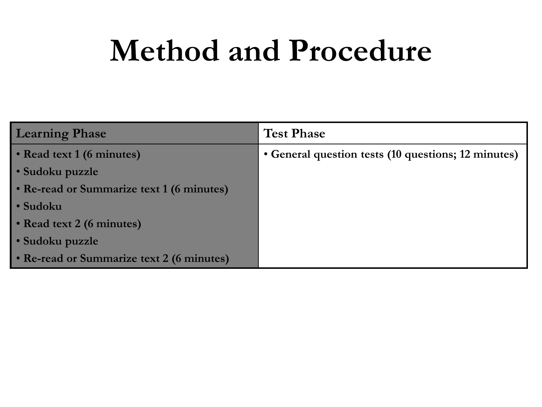### **Method and Procedure**

| <b>Learning Phase</b>                     | <b>Test Phase</b>                                   |
|-------------------------------------------|-----------------------------------------------------|
| • Read text 1 (6 minutes)                 | • General question tests (10 questions; 12 minutes) |
| • Sudoku puzzle                           |                                                     |
| • Re-read or Summarize text 1 (6 minutes) |                                                     |
| • Sudoku                                  |                                                     |
| • Read text 2 (6 minutes)                 |                                                     |
| • Sudoku puzzle                           |                                                     |
| • Re-read or Summarize text 2 (6 minutes) |                                                     |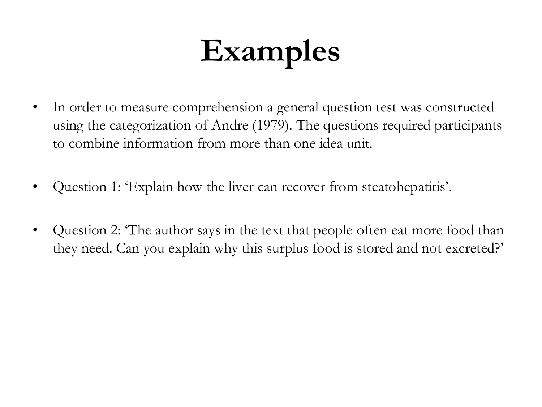# **Examples**

- In order to measure comprehension a general question test was constructed using the categorization of Andre (1979). The questions required participants to combine information from more than one idea unit.
- Question 1: 'Explain how the liver can recover from steatohepatitis'.
- Question 2: 'The author says in the text that people often eat more food than they need. Can you explain why this surplus food is stored and not excreted?'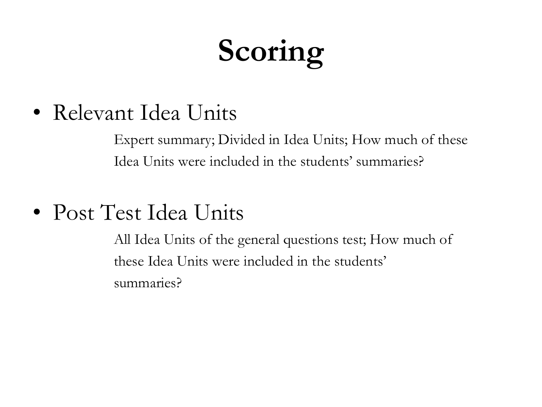# **Scoring**

• Relevant Idea Units

Expert summary; Divided in Idea Units; How much of these Idea Units were included in the students' summaries?

• Post Test Idea Units

All Idea Units of the general questions test; How much of these Idea Units were included in the students' summaries?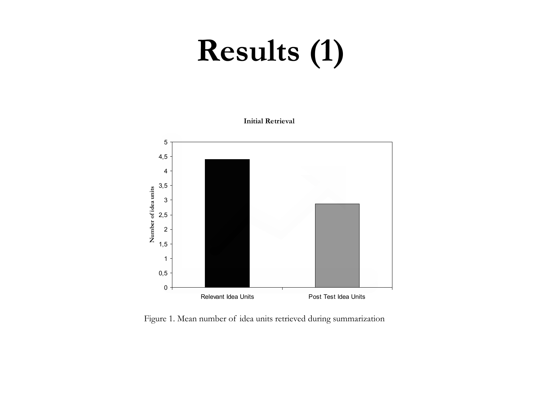# **Results (1)**

**Initial Retrieval**



Figure 1. Mean number of idea units retrieved during summarization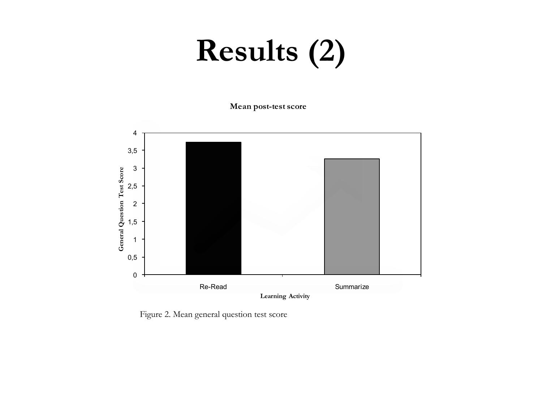# **Results (2)**

**Mean post-test score**



Figure 2. Mean general question test score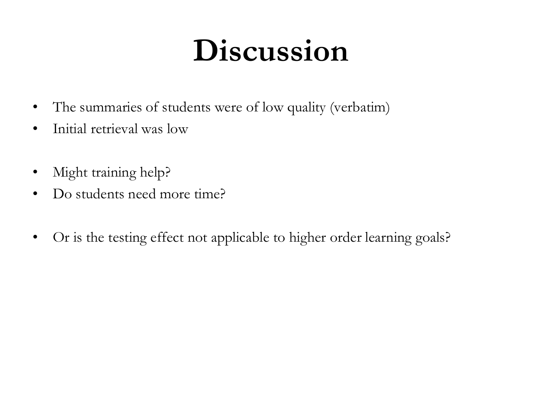## **Discussion**

- The summaries of students were of low quality (verbatim)
- Initial retrieval was low
- Might training help?
- Do students need more time?
- Or is the testing effect not applicable to higher order learning goals?